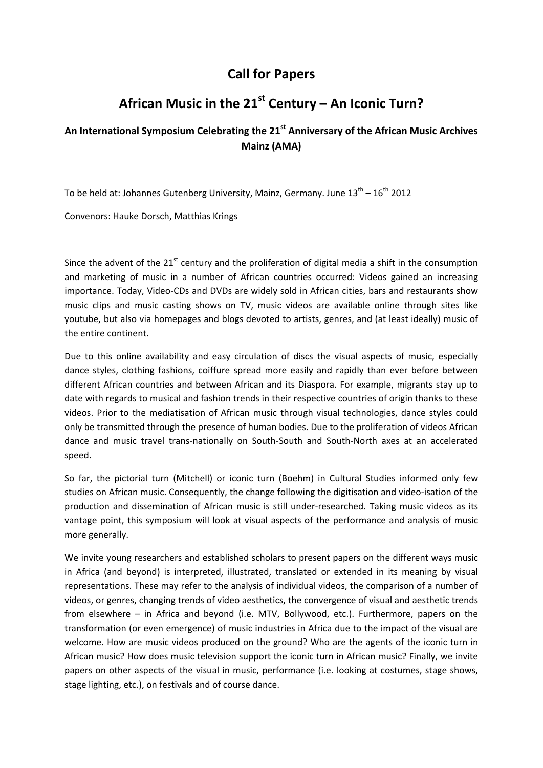## **Call for Papers**

## **African Music in the 21st Century – An Iconic Turn?**

## **An International Symposium Celebrating the 21st Anniversary of the African Music Archives Mainz (AMA)**

To be held at: Johannes Gutenberg University, Mainz, Germany. June  $13^{th} - 16^{th}$  2012

Convenors: Hauke Dorsch, Matthias Krings

Since the advent of the  $21^{st}$  century and the proliferation of digital media a shift in the consumption and marketing of music in a number of African countries occurred: Videos gained an increasing importance. Today, Video‐CDs and DVDs are widely sold in African cities, bars and restaurants show music clips and music casting shows on TV, music videos are available online through sites like youtube, but also via homepages and blogs devoted to artists, genres, and (at least ideally) music of the entire continent.

Due to this online availability and easy circulation of discs the visual aspects of music, especially dance styles, clothing fashions, coiffure spread more easily and rapidly than ever before between different African countries and between African and its Diaspora. For example, migrants stay up to date with regards to musical and fashion trends in their respective countries of origin thanks to these videos. Prior to the mediatisation of African music through visual technologies, dance styles could only be transmitted through the presence of human bodies. Due to the proliferation of videos African dance and music travel trans‐nationally on South‐South and South‐North axes at an accelerated speed.

So far, the pictorial turn (Mitchell) or iconic turn (Boehm) in Cultural Studies informed only few studies on African music. Consequently, the change following the digitisation and video‐isation of the production and dissemination of African music is still under-researched. Taking music videos as its vantage point, this symposium will look at visual aspects of the performance and analysis of music more generally.

We invite young researchers and established scholars to present papers on the different ways music in Africa (and beyond) is interpreted, illustrated, translated or extended in its meaning by visual representations. These may refer to the analysis of individual videos, the comparison of a number of videos, or genres, changing trends of video aesthetics, the convergence of visual and aesthetic trends from elsewhere – in Africa and beyond (i.e. MTV, Bollywood, etc.). Furthermore, papers on the transformation (or even emergence) of music industries in Africa due to the impact of the visual are welcome. How are music videos produced on the ground? Who are the agents of the iconic turn in African music? How does music television support the iconic turn in African music? Finally, we invite papers on other aspects of the visual in music, performance (i.e. looking at costumes, stage shows, stage lighting, etc.), on festivals and of course dance.